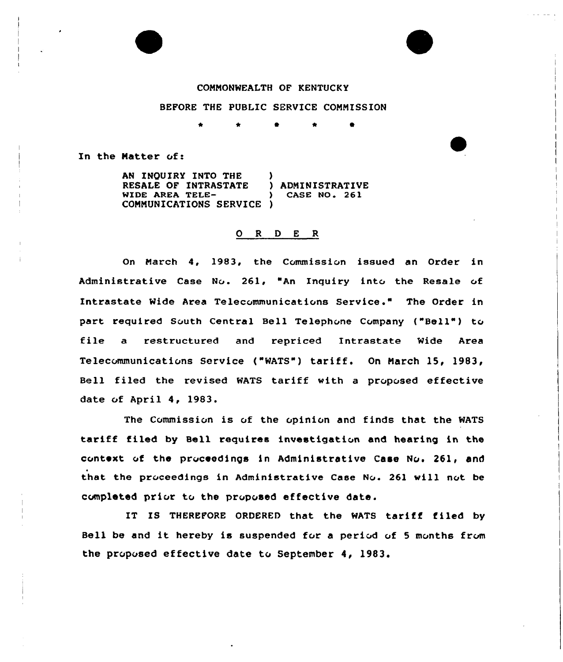## CONNONWEALTH OF KENTUCKY

## BEFORE THE PUBLIC SERVICE CONNISSION

\* 0 \* 0

In the Natter of:

AN INQUIRY INTO THE )<br>RESALE OF INTRASTATE ) ADMINISTRATIVE RESALE OF INTRASTATE ) ADMINISTRATIVE<br>
WIDE AREA TELE-<br>
) CASE NO. 261 WIDE AREA TELE-CONNUNICATIONS SERVICE )

## 0 <sup>R</sup> <sup>D</sup> <sup>E</sup> <sup>R</sup>

On March 4, 1983, the Commission issued an Order in Administrative Case No. 261, "An Inquiry into the Resale of Intrastate Wide Area Telecommunications Service." The Order in part required South Central Bell Telephone Company ("Bell") to file a restructured and repriced Intrastate Wide Area Telecommunications Service ("WATS" ) tariff. On Narch 15, 1983, Bell filed the revised WATS tariff with a proposed effective date of April 4, 1983.

The Commission is of the opinion and finds that the WATS tariff filed by Bell requires investigation and hearing in the context of the proceedings in Administrative Case No. 261, and that the proceedings in Administrative Case No. 261 will not be completed prior to the proposed effective date.

IT IS THEREFORE ORDERED that the MATS tariff filed by Bell be and it hereby is suspended for a period of 5 months from the proposed effective date to September 4, 1983.